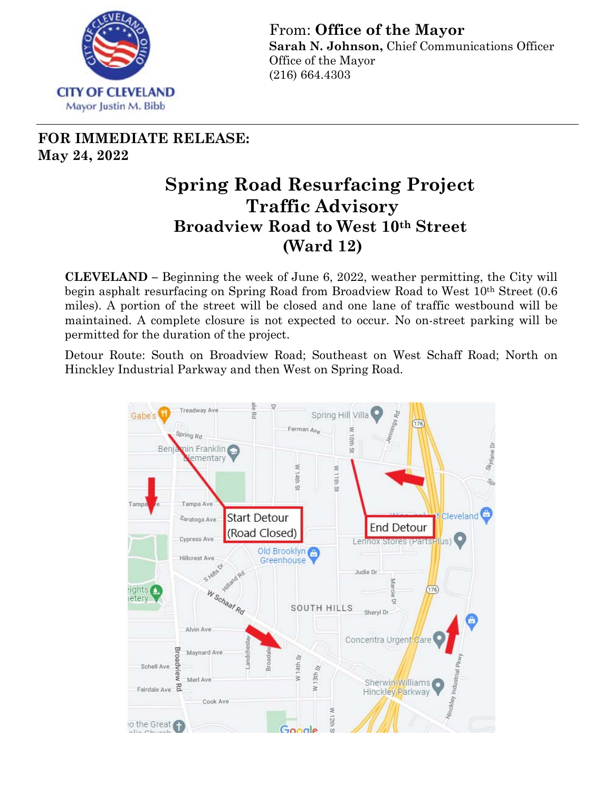

From: **Office of the Mayor Sarah N. Johnson,** Chief Communications Officer Office of the Mayor (216) 664.4303

## **FOR IMMEDIATE RELEASE: May 24, 2022**

## **Spring Road Resurfacing Project Traffic Advisory Broadview Road to West 10th Street (Ward 12)**

**CLEVELAND –** Beginning the week of June 6, 2022, weather permitting, the City will begin asphalt resurfacing on Spring Road from Broadview Road to West 10<sup>th</sup> Street (0.6 miles). A portion of the street will be closed and one lane of traffic westbound will be maintained. A complete closure is not expected to occur. No on-street parking will be permitted for the duration of the project.

Detour Route: South on Broadview Road; Southeast on West Schaff Road; North on Hinckley Industrial Parkway and then West on Spring Road.